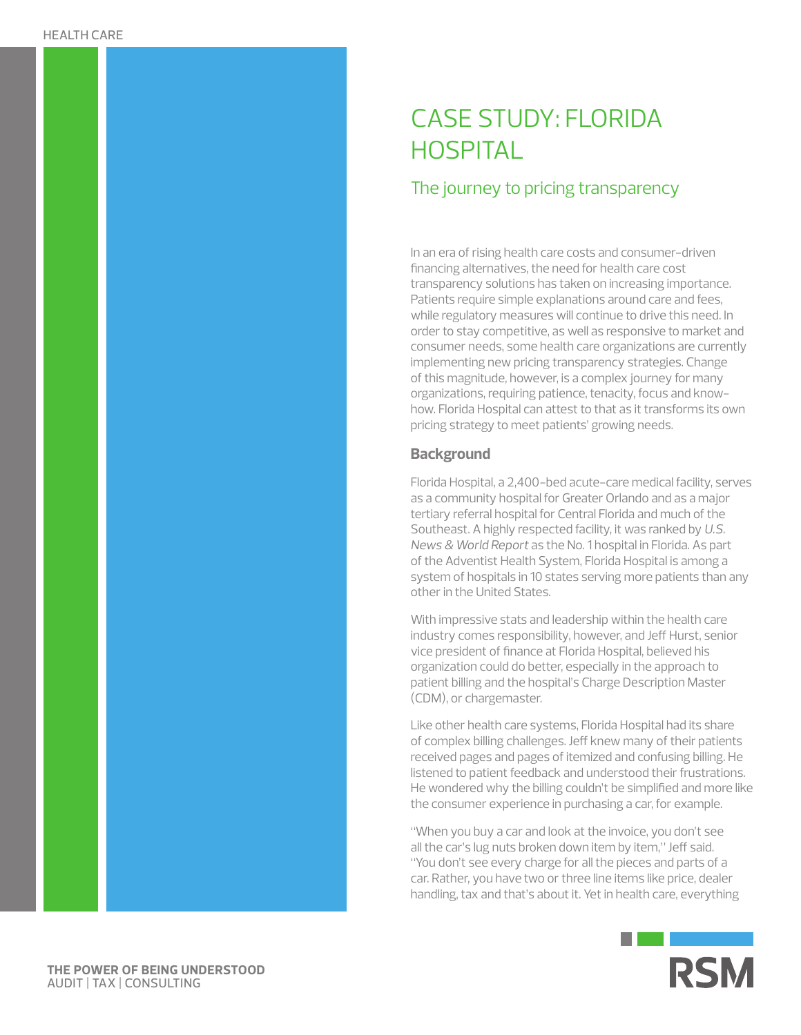# CASE STUDY: FLORIDA **HOSPITAL**

## The journey to pricing transparency

In an era of rising health care costs and consumer-driven financing alternatives, the need for health care cost transparency solutions has taken on increasing importance. Patients require simple explanations around care and fees, while regulatory measures will continue to drive this need. In order to stay competitive, as well as responsive to market and consumer needs, some health care organizations are currently implementing new pricing transparency strategies. Change of this magnitude, however, is a complex journey for many organizations, requiring patience, tenacity, focus and knowhow. Florida Hospital can attest to that as it transforms its own pricing strategy to meet patients' growing needs.

#### **Background**

Florida Hospital, a 2,400-bed acute-care medical facility, serves as a community hospital for Greater Orlando and as a major tertiary referral hospital for Central Florida and much of the Southeast. A highly respected facility, it was ranked by *U.S. News & World Report* as the No. 1 hospital in Florida. As part of the Adventist Health System, Florida Hospital is among a system of hospitals in 10 states serving more patients than any other in the United States.

With impressive stats and leadership within the health care industry comes responsibility, however, and Jeff Hurst, senior vice president of finance at Florida Hospital, believed his organization could do better, especially in the approach to patient billing and the hospital's Charge Description Master (CDM), or chargemaster.

Like other health care systems, Florida Hospital had its share of complex billing challenges. Jeff knew many of their patients received pages and pages of itemized and confusing billing. He listened to patient feedback and understood their frustrations. He wondered why the billing couldn't be simplified and more like the consumer experience in purchasing a car, for example.

"When you buy a car and look at the invoice, you don't see all the car's lug nuts broken down item by item," Jeff said. "You don't see every charge for all the pieces and parts of a car. Rather, you have two or three line items like price, dealer handling, tax and that's about it. Yet in health care, everything